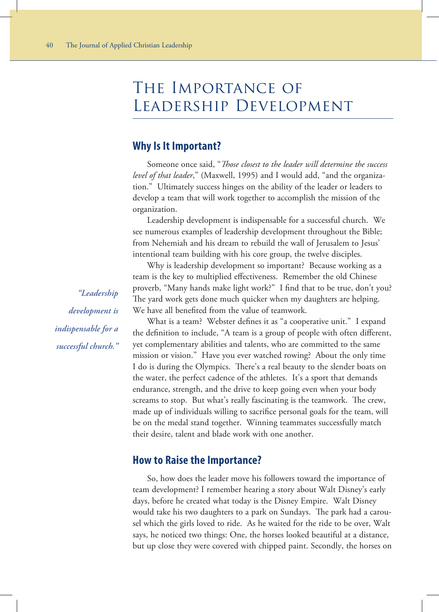# The Importance of Leadership Development

# **Why Is It Important?**

Someone once said, "*Those closest to the leader will determine the success level of that leader*," (Maxwell, 1995) and I would add, "and the organization." Ultimately success hinges on the ability of the leader or leaders to develop a team that will work together to accomplish the mission of the organization.

Leadership development is indispensable for a successful church. We see numerous examples of leadership development throughout the Bible; from Nehemiah and his dream to rebuild the wall of Jerusalem to Jesus' intentional team building with his core group, the twelve disciples.

Why is leadership development so important? Because working as a team is the key to multiplied effectiveness. Remember the old Chinese proverb, "Many hands make light work?" I find that to be true, don't you? The yard work gets done much quicker when my daughters are helping. We have all benefited from the value of teamwork.

What is a team? Webster defines it as "a cooperative unit." I expand the definition to include, "A team is a group of people with often different, yet complementary abilities and talents, who are committed to the same mission or vision." Have you ever watched rowing? About the only time I do is during the Olympics. There's a real beauty to the slender boats on the water, the perfect cadence of the athletes. It's a sport that demands endurance, strength, and the drive to keep going even when your body screams to stop. But what's really fascinating is the teamwork. The crew, made up of individuals willing to sacrifice personal goals for the team, will be on the medal stand together. Winning teammates successfully match their desire, talent and blade work with one another.

# **How to Raise the Importance?**

So, how does the leader move his followers toward the importance of team development? I remember hearing a story about Walt Disney's early days, before he created what today is the Disney Empire. Walt Disney would take his two daughters to a park on Sundays. The park had a carousel which the girls loved to ride. As he waited for the ride to be over, Walt says, he noticed two things: One, the horses looked beautiful at a distance, but up close they were covered with chipped paint. Secondly, the horses on

*"Leadership development is indispensable for a successful church."*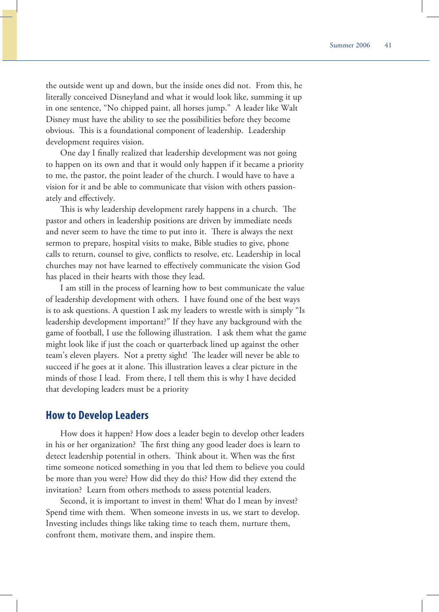the outside went up and down, but the inside ones did not. From this, he literally conceived Disneyland and what it would look like, summing it up in one sentence, "No chipped paint, all horses jump." A leader like Walt Disney must have the ability to see the possibilities before they become obvious. This is a foundational component of leadership. Leadership development requires vision.

One day I finally realized that leadership development was not going to happen on its own and that it would only happen if it became a priority to me, the pastor, the point leader of the church. I would have to have a vision for it and be able to communicate that vision with others passionately and effectively.

This is why leadership development rarely happens in a church. The pastor and others in leadership positions are driven by immediate needs and never seem to have the time to put into it. There is always the next sermon to prepare, hospital visits to make, Bible studies to give, phone calls to return, counsel to give, conflicts to resolve, etc. Leadership in local churches may not have learned to effectively communicate the vision God has placed in their hearts with those they lead.

I am still in the process of learning how to best communicate the value of leadership development with others. I have found one of the best ways is to ask questions. A question I ask my leaders to wrestle with is simply "Is leadership development important?" If they have any background with the game of football, I use the following illustration. I ask them what the game might look like if just the coach or quarterback lined up against the other team's eleven players. Not a pretty sight! The leader will never be able to succeed if he goes at it alone. This illustration leaves a clear picture in the minds of those I lead. From there, I tell them this is why I have decided that developing leaders must be a priority

# **How to Develop Leaders**

How does it happen? How does a leader begin to develop other leaders in his or her organization? The first thing any good leader does is learn to detect leadership potential in others. Think about it. When was the first time someone noticed something in you that led them to believe you could be more than you were? How did they do this? How did they extend the invitation? Learn from others methods to assess potential leaders.

Second, it is important to invest in them! What do I mean by invest? Spend time with them. When someone invests in us, we start to develop. Investing includes things like taking time to teach them, nurture them, confront them, motivate them, and inspire them.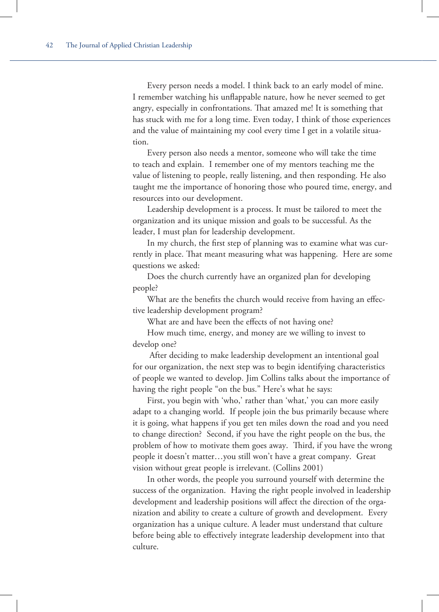Every person needs a model. I think back to an early model of mine. I remember watching his unflappable nature, how he never seemed to get angry, especially in confrontations. That amazed me! It is something that has stuck with me for a long time. Even today, I think of those experiences and the value of maintaining my cool every time I get in a volatile situation.

Every person also needs a mentor, someone who will take the time to teach and explain. I remember one of my mentors teaching me the value of listening to people, really listening, and then responding. He also taught me the importance of honoring those who poured time, energy, and resources into our development.

Leadership development is a process. It must be tailored to meet the organization and its unique mission and goals to be successful. As the leader, I must plan for leadership development.

In my church, the first step of planning was to examine what was currently in place. That meant measuring what was happening. Here are some questions we asked:

Does the church currently have an organized plan for developing people?

What are the benefits the church would receive from having an effective leadership development program?

What are and have been the effects of not having one?

How much time, energy, and money are we willing to invest to develop one?

 After deciding to make leadership development an intentional goal for our organization, the next step was to begin identifying characteristics of people we wanted to develop. Jim Collins talks about the importance of having the right people "on the bus." Here's what he says:

First, you begin with 'who,' rather than 'what,' you can more easily adapt to a changing world. If people join the bus primarily because where it is going, what happens if you get ten miles down the road and you need to change direction? Second, if you have the right people on the bus, the problem of how to motivate them goes away. Third, if you have the wrong people it doesn't matter…you still won't have a great company. Great vision without great people is irrelevant. (Collins 2001)

In other words, the people you surround yourself with determine the success of the organization. Having the right people involved in leadership development and leadership positions will affect the direction of the organization and ability to create a culture of growth and development. Every organization has a unique culture. A leader must understand that culture before being able to effectively integrate leadership development into that culture.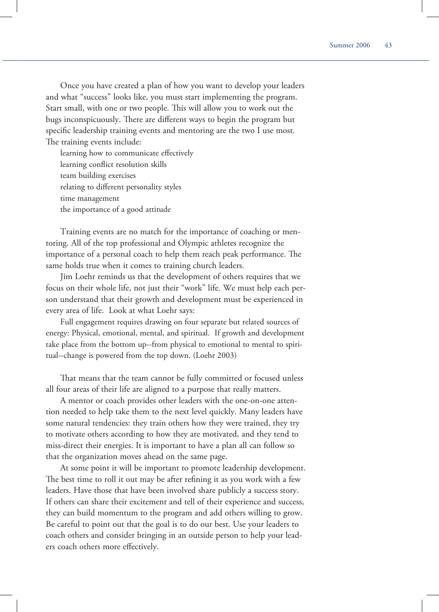Once you have created a plan of how you want to develop your leaders and what "success" looks like, you must start implementing the program. Start small, with one or two people. This will allow you to work out the bugs inconspicuously. There are different ways to begin the program but specific leadership training events and mentoring are the two I use most. The training events include:

learning how to communicate effectively learning conflict resolution skills team building exercises relating to different personality styles time management the importance of a good attitude

Training events are no match for the importance of coaching or mentoring. All of the top professional and Olympic athletes recognize the importance of a personal coach to help them reach peak performance. The same holds true when it comes to training church leaders.

Jim Loehr reminds us that the development of others requires that we focus on their whole life, not just their "work" life. We must help each person understand that their growth and development must be experienced in every area of life. Look at what Loehr says:

Full engagement requires drawing on four separate but related sources of energy: Physical, emotional, mental, and spiritual. If growth and development take place from the bottom up--from physical to emotional to mental to spiritual--change is powered from the top down. (Loehr 2003)

That means that the team cannot be fully committed or focused unless all four areas of their life are aligned to a purpose that really matters.

A mentor or coach provides other leaders with the one-on-one attention needed to help take them to the next level quickly. Many leaders have some natural tendencies: they train others how they were trained, they try to motivate others according to how they are motivated, and they tend to miss-direct their energies. It is important to have a plan all can follow so that the organization moves ahead on the same page.

At some point it will be important to promote leadership development. The best time to roll it out may be after refining it as you work with a few leaders. Have those that have been involved share publicly a success story. If others can share their excitement and tell of their experience and success, they can build momentum to the program and add others willing to grow. Be careful to point out that the goal is to do our best. Use your leaders to coach others and consider bringing in an outside person to help your leaders coach others more effectively.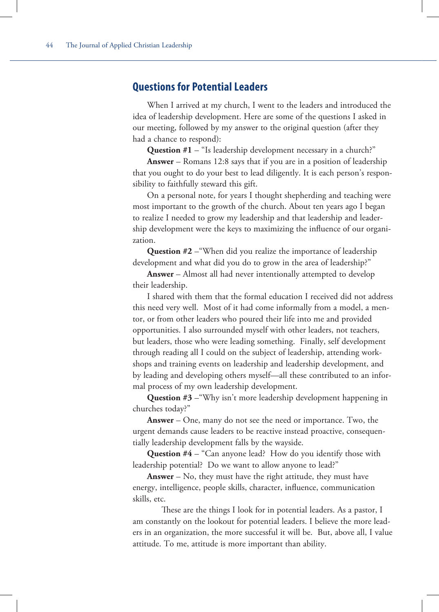# **Questions for Potential Leaders**

When I arrived at my church, I went to the leaders and introduced the idea of leadership development. Here are some of the questions I asked in our meeting, followed by my answer to the original question (after they had a chance to respond):

**Question #1** – "Is leadership development necessary in a church?"

**Answer** – Romans 12:8 says that if you are in a position of leadership that you ought to do your best to lead diligently. It is each person's responsibility to faithfully steward this gift.

On a personal note, for years I thought shepherding and teaching were most important to the growth of the church. About ten years ago I began to realize I needed to grow my leadership and that leadership and leadership development were the keys to maximizing the influence of our organization.

**Question #2** –"When did you realize the importance of leadership development and what did you do to grow in the area of leadership?"

**Answer** – Almost all had never intentionally attempted to develop their leadership.

I shared with them that the formal education I received did not address this need very well. Most of it had come informally from a model, a mentor, or from other leaders who poured their life into me and provided opportunities. I also surrounded myself with other leaders, not teachers, but leaders, those who were leading something. Finally, self development through reading all I could on the subject of leadership, attending workshops and training events on leadership and leadership development, and by leading and developing others myself—all these contributed to an informal process of my own leadership development.

**Question #3** –"Why isn't more leadership development happening in churches today?"

**Answer** – One, many do not see the need or importance. Two, the urgent demands cause leaders to be reactive instead proactive, consequentially leadership development falls by the wayside.

**Question #4** – "Can anyone lead? How do you identify those with leadership potential? Do we want to allow anyone to lead?"

**Answer** – No, they must have the right attitude, they must have energy, intelligence, people skills, character, influence, communication skills, etc.

These are the things I look for in potential leaders. As a pastor, I am constantly on the lookout for potential leaders. I believe the more leaders in an organization, the more successful it will be. But, above all, I value attitude. To me, attitude is more important than ability.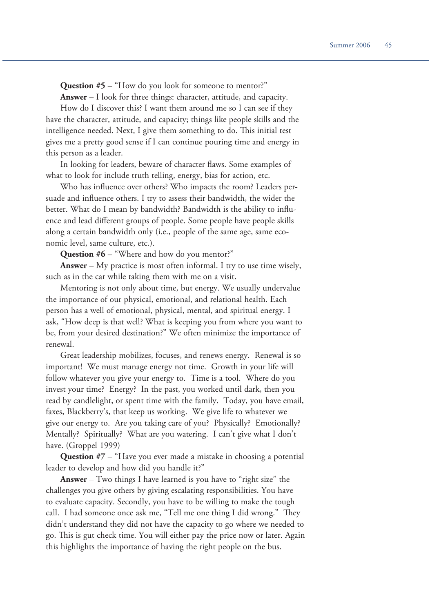**Question #5** – "How do you look for someone to mentor?"

**Answer** – I look for three things: character, attitude, and capacity.

How do I discover this? I want them around me so I can see if they have the character, attitude, and capacity; things like people skills and the intelligence needed. Next, I give them something to do. This initial test gives me a pretty good sense if I can continue pouring time and energy in this person as a leader.

In looking for leaders, beware of character flaws. Some examples of what to look for include truth telling, energy, bias for action, etc.

Who has influence over others? Who impacts the room? Leaders persuade and influence others. I try to assess their bandwidth, the wider the better. What do I mean by bandwidth? Bandwidth is the ability to influence and lead different groups of people. Some people have people skills along a certain bandwidth only (i.e., people of the same age, same economic level, same culture, etc.).

**Question #6** – "Where and how do you mentor?"

**Answer** – My practice is most often informal. I try to use time wisely, such as in the car while taking them with me on a visit.

Mentoring is not only about time, but energy. We usually undervalue the importance of our physical, emotional, and relational health. Each person has a well of emotional, physical, mental, and spiritual energy. I ask, "How deep is that well? What is keeping you from where you want to be, from your desired destination?" We often minimize the importance of renewal.

Great leadership mobilizes, focuses, and renews energy. Renewal is so important! We must manage energy not time. Growth in your life will follow whatever you give your energy to. Time is a tool. Where do you invest your time? Energy? In the past, you worked until dark, then you read by candlelight, or spent time with the family. Today, you have email, faxes, Blackberry's, that keep us working. We give life to whatever we give our energy to. Are you taking care of you? Physically? Emotionally? Mentally? Spiritually? What are you watering. I can't give what I don't have. (Groppel 1999)

**Question #7** – "Have you ever made a mistake in choosing a potential leader to develop and how did you handle it?"

**Answer** – Two things I have learned is you have to "right size" the challenges you give others by giving escalating responsibilities. You have to evaluate capacity. Secondly, you have to be willing to make the tough call. I had someone once ask me, "Tell me one thing I did wrong." They didn't understand they did not have the capacity to go where we needed to go. This is gut check time. You will either pay the price now or later. Again this highlights the importance of having the right people on the bus.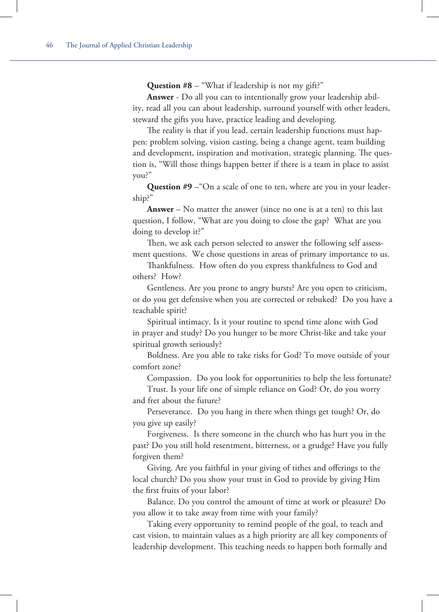**Question #8** – "What if leadership is not my gift?"

**Answer** - Do all you can to intentionally grow your leadership ability, read all you can about leadership, surround yourself with other leaders, steward the gifts you have, practice leading and developing.

The reality is that if you lead, certain leadership functions must happen: problem solving, vision casting, being a change agent, team building and development, inspiration and motivation, strategic planning. The question is, "Will those things happen better if there is a team in place to assist you?"

**Question #9** – "On a scale of one to ten, where are you in your leadership?"

**Answer** – No matter the answer (since no one is at a ten) to this last question, I follow, "What are you doing to close the gap? What are you doing to develop it?"

Then, we ask each person selected to answer the following self assessment questions. We chose questions in areas of primary importance to us.

Thankfulness. How often do you express thankfulness to God and others? How?

Gentleness. Are you prone to angry bursts? Are you open to criticism, or do you get defensive when you are corrected or rebuked? Do you have a teachable spirit?

Spiritual intimacy. Is it your routine to spend time alone with God in prayer and study? Do you hunger to be more Christ-like and take your spiritual growth seriously?

Boldness. Are you able to take risks for God? To move outside of your comfort zone?

Compassion. Do you look for opportunities to help the less fortunate?

Trust. Is your life one of simple reliance on God? Or, do you worry and fret about the future?

Perseverance. Do you hang in there when things get tough? Or, do you give up easily?

Forgiveness. Is there someone in the church who has hurt you in the past? Do you still hold resentment, bitterness, or a grudge? Have you fully forgiven them?

Giving. Are you faithful in your giving of tithes and offerings to the local church? Do you show your trust in God to provide by giving Him the first fruits of your labor?

Balance. Do you control the amount of time at work or pleasure? Do you allow it to take away from time with your family?

Taking every opportunity to remind people of the goal, to teach and cast vision, to maintain values as a high priority are all key components of leadership development. This teaching needs to happen both formally and